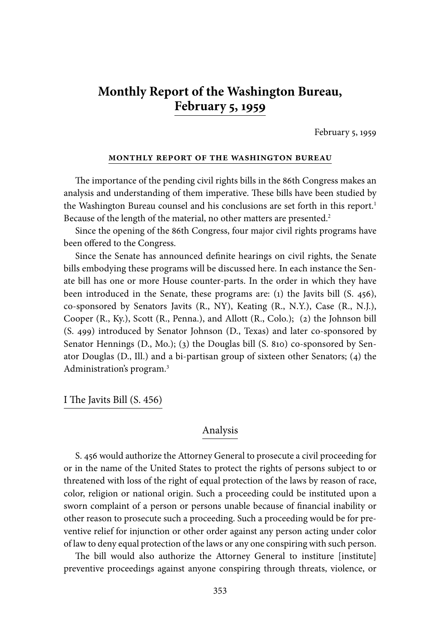# **Monthly Report of the Washington Bureau, February 5, 1959**

February 5, 1959

#### **monthly report of the washington bureau**

The importance of the pending civil rights bills in the 86th Congress makes an analysis and understanding of them imperative. These bills have been studied by the Washington Bureau counsel and his conclusions are set forth in this report.<sup>1</sup> Because of the length of the material, no other matters are presented.<sup>2</sup>

Since the opening of the 86th Congress, four major civil rights programs have been offered to the Congress.

Since the Senate has announced definite hearings on civil rights, the Senate bills embodying these programs will be discussed here. In each instance the Senate bill has one or more House counter-parts. In the order in which they have been introduced in the Senate, these programs are: (1) the Javits bill (S. 456), co-sponsored by Senators Javits (R., NY), Keating (R., N.Y.), Case (R., N.J.), Cooper (R., Ky.), Scott (R., Penna.), and Allott (R., Colo.); (2) the Johnson bill (S. 499) introduced by Senator Johnson (D., Texas) and later co-sponsored by Senator Hennings (D., Mo.); (3) the Douglas bill (S. 810) co-sponsored by Senator Douglas (D., Ill.) and a bi-partisan group of sixteen other Senators; (4) the Administration's program.3

I The Javits Bill (S. 456)

#### Analysis

S. 456 would authorize the Attorney General to prosecute a civil proceeding for or in the name of the United States to protect the rights of persons subject to or threatened with loss of the right of equal protection of the laws by reason of race, color, religion or national origin. Such a proceeding could be instituted upon a sworn complaint of a person or persons unable because of financial inability or other reason to prosecute such a proceeding. Such a proceeding would be for preventive relief for injunction or other order against any person acting under color of law to deny equal protection of the laws or any one conspiring with such person.

The bill would also authorize the Attorney General to institure [institute] preventive proceedings against anyone conspiring through threats, violence, or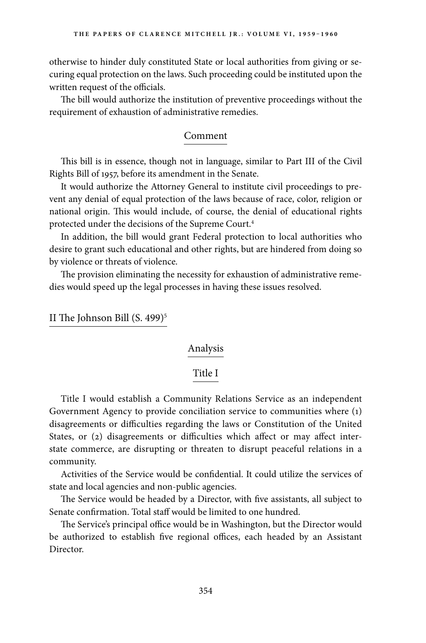otherwise to hinder duly constituted State or local authorities from giving or securing equal protection on the laws. Such proceeding could be instituted upon the written request of the officials.

The bill would authorize the institution of preventive proceedings without the requirement of exhaustion of administrative remedies.

## Comment

This bill is in essence, though not in language, similar to Part III of the Civil Rights Bill of 1957, before its amendment in the Senate.

It would authorize the Attorney General to institute civil proceedings to prevent any denial of equal protection of the laws because of race, color, religion or national origin. This would include, of course, the denial of educational rights protected under the decisions of the Supreme Court.4

In addition, the bill would grant Federal protection to local authorities who desire to grant such educational and other rights, but are hindered from doing so by violence or threats of violence.

The provision eliminating the necessity for exhaustion of administrative remedies would speed up the legal processes in having these issues resolved.

II The Johnson Bill  $(S. 499)^5$ 

# Analysis

# Title I

Title I would establish a Community Relations Service as an independent Government Agency to provide conciliation service to communities where (1) disagreements or difficulties regarding the laws or Constitution of the United States, or (2) disagreements or difficulties which affect or may affect interstate commerce, are disrupting or threaten to disrupt peaceful relations in a community.

Activities of the Service would be confidential. It could utilize the services of state and local agencies and non-public agencies.

The Service would be headed by a Director, with five assistants, all subject to Senate confirmation. Total staff would be limited to one hundred.

The Service's principal office would be in Washington, but the Director would be authorized to establish five regional offices, each headed by an Assistant Director.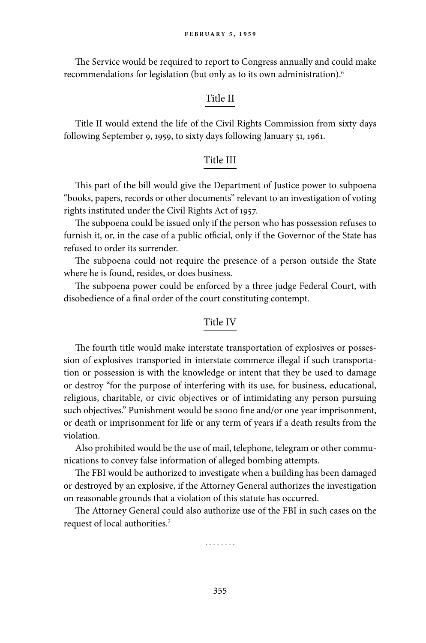The Service would be required to report to Congress annually and could make recommendations for legislation (but only as to its own administration).6

#### Title II

Title II would extend the life of the Civil Rights Commission from sixty days following September 9, 1959, to sixty days following January 31, 1961.

#### Title III

This part of the bill would give the Department of Justice power to subpoena "books, papers, records or other documents" relevant to an investigation of voting rights instituted under the Civil Rights Act of 1957.

The subpoena could be issued only if the person who has possession refuses to furnish it, or, in the case of a public official, only if the Governor of the State has refused to order its surrender.

The subpoena could not require the presence of a person outside the State where he is found, resides, or does business.

The subpoena power could be enforced by a three judge Federal Court, with disobedience of a final order of the court constituting contempt.

#### Title IV

The fourth title would make interstate transportation of explosives or possession of explosives transported in interstate commerce illegal if such transportation or possession is with the knowledge or intent that they be used to damage or destroy "for the purpose of interfering with its use, for business, educational, religious, charitable, or civic objectives or of intimidating any person pursuing such objectives." Punishment would be \$1000 fine and/or one year imprisonment, or death or imprisonment for life or any term of years if a death results from the violation.

Also prohibited would be the use of mail, telephone, telegram or other communications to convey false information of alleged bombing attempts.

The FBI would be authorized to investigate when a building has been damaged or destroyed by an explosive, if the Attorney General authorizes the investigation on reasonable grounds that a violation of this statute has occurred.

The Attorney General could also authorize use of the FBI in such cases on the request of local authorities.7

. . . . . . . .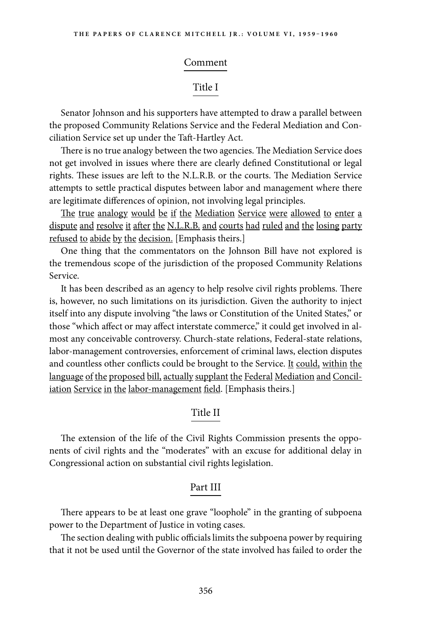#### Comment

# Title I

Senator Johnson and his supporters have attempted to draw a parallel between the proposed Community Relations Service and the Federal Mediation and Conciliation Service set up under the Taft-Hartley Act.

There is no true analogy between the two agencies. The Mediation Service does not get involved in issues where there are clearly defined Constitutional or legal rights. These issues are left to the N.L.R.B. or the courts. The Mediation Service attempts to settle practical disputes between labor and management where there are legitimate differences of opinion, not involving legal principles.

The true analogy would be if the Mediation Service were allowed to enter a dispute and resolve it after the N.L.R.B. and courts had ruled and the losing party refused to abide by the decision. [Emphasis theirs.]

One thing that the commentators on the Johnson Bill have not explored is the tremendous scope of the jurisdiction of the proposed Community Relations Service.

It has been described as an agency to help resolve civil rights problems. There is, however, no such limitations on its jurisdiction. Given the authority to inject itself into any dispute involving "the laws or Constitution of the United States," or those "which affect or may affect interstate commerce," it could get involved in almost any conceivable controversy. Church-state relations, Federal-state relations, labor-management controversies, enforcement of criminal laws, election disputes and countless other conflicts could be brought to the Service. It could, within the language of the proposed bill, actually supplant the Federal Mediation and Conciliation Service in the labor-management field. [Emphasis theirs.]

# Title II

The extension of the life of the Civil Rights Commission presents the opponents of civil rights and the "moderates" with an excuse for additional delay in Congressional action on substantial civil rights legislation.

#### Part III

There appears to be at least one grave "loophole" in the granting of subpoena power to the Department of Justice in voting cases.

The section dealing with public officials limits the subpoena power by requiring that it not be used until the Governor of the state involved has failed to order the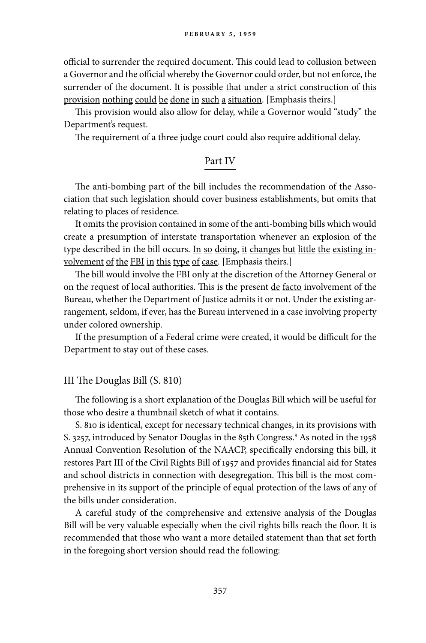official to surrender the required document. This could lead to collusion between a Governor and the official whereby the Governor could order, but not enforce, the surrender of the document. It is possible that under a strict construction of this provision nothing could be done in such a situation. [Emphasis theirs.]

This provision would also allow for delay, while a Governor would "study" the Department's request.

The requirement of a three judge court could also require additional delay.

#### Part IV

The anti-bombing part of the bill includes the recommendation of the Association that such legislation should cover business establishments, but omits that relating to places of residence.

It omits the provision contained in some of the anti-bombing bills which would create a presumption of interstate transportation whenever an explosion of the type described in the bill occurs. In so doing, it changes but little the existing involvement of the FBI in this type of case. [Emphasis theirs.]

The bill would involve the FBI only at the discretion of the Attorney General or on the request of local authorities. This is the present de facto involvement of the Bureau, whether the Department of Justice admits it or not. Under the existing arrangement, seldom, if ever, has the Bureau intervened in a case involving property under colored ownership.

If the presumption of a Federal crime were created, it would be difficult for the Department to stay out of these cases.

#### III The Douglas Bill (S. 810)

The following is a short explanation of the Douglas Bill which will be useful for those who desire a thumbnail sketch of what it contains.

S. 810 is identical, except for necessary technical changes, in its provisions with S. 3257, introduced by Senator Douglas in the 85th Congress.<sup>8</sup> As noted in the 1958 Annual Convention Resolution of the NAACP, specifically endorsing this bill, it restores Part III of the Civil Rights Bill of 1957 and provides financial aid for States and school districts in connection with desegregation. This bill is the most comprehensive in its support of the principle of equal protection of the laws of any of the bills under consideration.

A careful study of the comprehensive and extensive analysis of the Douglas Bill will be very valuable especially when the civil rights bills reach the floor. It is recommended that those who want a more detailed statement than that set forth in the foregoing short version should read the following: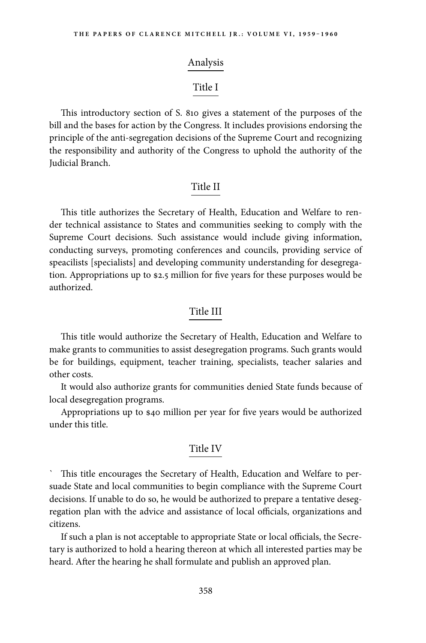#### Analysis

# Title I

This introductory section of S. 810 gives a statement of the purposes of the bill and the bases for action by the Congress. It includes provisions endorsing the principle of the anti-segregation decisions of the Supreme Court and recognizing the responsibility and authority of the Congress to uphold the authority of the Judicial Branch.

# Title II

This title authorizes the Secretary of Health, Education and Welfare to render technical assistance to States and communities seeking to comply with the Supreme Court decisions. Such assistance would include giving information, conducting surveys, promoting conferences and councils, providing service of speacilists [specialists] and developing community understanding for desegregation. Appropriations up to \$2.5 million for five years for these purposes would be authorized.

# Title III

This title would authorize the Secretary of Health, Education and Welfare to make grants to communities to assist desegregation programs. Such grants would be for buildings, equipment, teacher training, specialists, teacher salaries and other costs.

It would also authorize grants for communities denied State funds because of local desegregation programs.

Appropriations up to \$40 million per year for five years would be authorized under this title.

#### Title IV

This title encourages the Secretary of Health, Education and Welfare to persuade State and local communities to begin compliance with the Supreme Court decisions. If unable to do so, he would be authorized to prepare a tentative desegregation plan with the advice and assistance of local officials, organizations and citizens.

If such a plan is not acceptable to appropriate State or local officials, the Secretary is authorized to hold a hearing thereon at which all interested parties may be heard. After the hearing he shall formulate and publish an approved plan.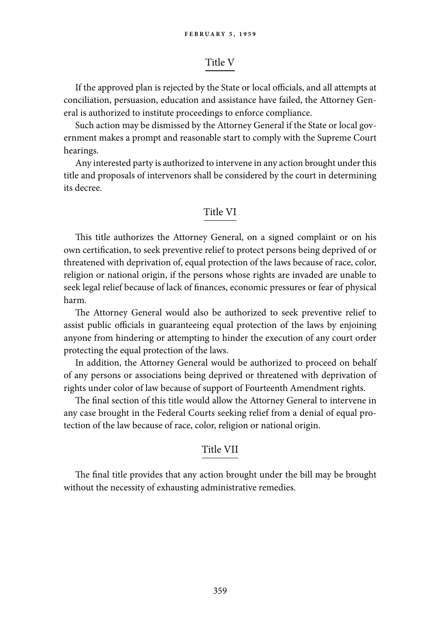# Title V

If the approved plan is rejected by the State or local officials, and all attempts at conciliation, persuasion, education and assistance have failed, the Attorney General is authorized to institute proceedings to enforce compliance.

Such action may be dismissed by the Attorney General if the State or local government makes a prompt and reasonable start to comply with the Supreme Court hearings.

Any interested party is authorized to intervene in any action brought under this title and proposals of intervenors shall be considered by the court in determining its decree.

# Title VI

This title authorizes the Attorney General, on a signed complaint or on his own certification, to seek preventive relief to protect persons being deprived of or threatened with deprivation of, equal protection of the laws because of race, color, religion or national origin, if the persons whose rights are invaded are unable to seek legal relief because of lack of finances, economic pressures or fear of physical harm.

The Attorney General would also be authorized to seek preventive relief to assist public officials in guaranteeing equal protection of the laws by enjoining anyone from hindering or attempting to hinder the execution of any court order protecting the equal protection of the laws.

In addition, the Attorney General would be authorized to proceed on behalf of any persons or associations being deprived or threatened with deprivation of rights under color of law because of support of Fourteenth Amendment rights.

The final section of this title would allow the Attorney General to intervene in any case brought in the Federal Courts seeking relief from a denial of equal protection of the law because of race, color, religion or national origin.

# Title VII

The final title provides that any action brought under the bill may be brought without the necessity of exhausting administrative remedies.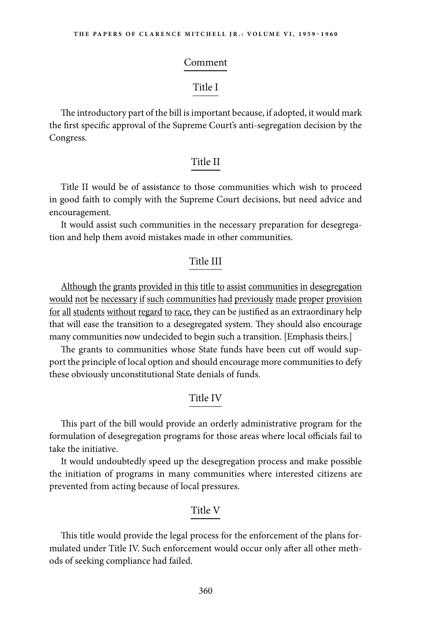#### Comment

# Title I

The introductory part of the bill is important because, if adopted, it would mark the first specific approval of the Supreme Court's anti-segregation decision by the Congress.

# Title II

Title II would be of assistance to those communities which wish to proceed in good faith to comply with the Supreme Court decisions, but need advice and encouragement.

It would assist such communities in the necessary preparation for desegregation and help them avoid mistakes made in other communities.

#### Title III

Although the grants provided in this title to assist communities in desegregation would not be necessary if such communities had previously made proper provision for all students without regard to race, they can be justified as an extraordinary help that will ease the transition to a desegregated system. They should also encourage many communities now undecided to begin such a transition. [Emphasis theirs.]

The grants to communities whose State funds have been cut off would support the principle of local option and should encourage more communities to defy these obviously unconstitutional State denials of funds.

#### Title IV

This part of the bill would provide an orderly administrative program for the formulation of desegregation programs for those areas where local officials fail to take the initiative.

It would undoubtedly speed up the desegregation process and make possible the initiation of programs in many communities where interested citizens are prevented from acting because of local pressures.

#### Title V

This title would provide the legal process for the enforcement of the plans formulated under Title IV. Such enforcement would occur only after all other methods of seeking compliance had failed.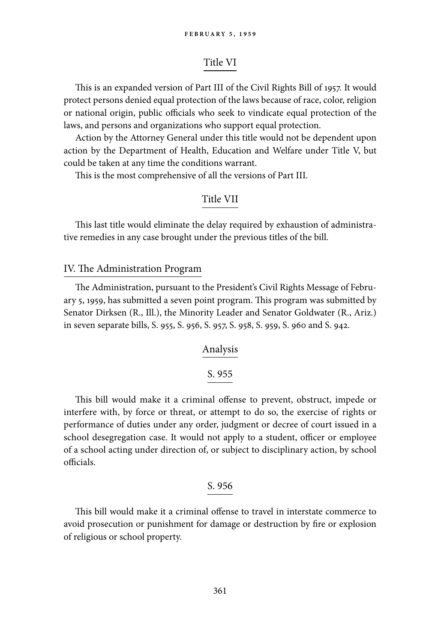# Title VI

This is an expanded version of Part III of the Civil Rights Bill of 1957. It would protect persons denied equal protection of the laws because of race, color, religion or national origin, public officials who seek to vindicate equal protection of the laws, and persons and organizations who support equal protection.

Action by the Attorney General under this title would not be dependent upon action by the Department of Health, Education and Welfare under Title V, but could be taken at any time the conditions warrant.

This is the most comprehensive of all the versions of Part III.

# Title VII

This last title would eliminate the delay required by exhaustion of administrative remedies in any case brought under the previous titles of the bill.

#### IV. The Administration Program

The Administration, pursuant to the President's Civil Rights Message of February 5, 1959, has submitted a seven point program. This program was submitted by Senator Dirksen (R., Ill.), the Minority Leader and Senator Goldwater (R., Ariz.) in seven separate bills, S. 955, S. 956, S. 957, S. 958, S. 959, S. 960 and S. 942.

#### Analysis

# S. 955

This bill would make it a criminal offense to prevent, obstruct, impede or interfere with, by force or threat, or attempt to do so, the exercise of rights or performance of duties under any order, judgment or decree of court issued in a school desegregation case. It would not apply to a student, officer or employee of a school acting under direction of, or subject to disciplinary action, by school officials.

# S. 956

This bill would make it a criminal offense to travel in interstate commerce to avoid prosecution or punishment for damage or destruction by fire or explosion of religious or school property.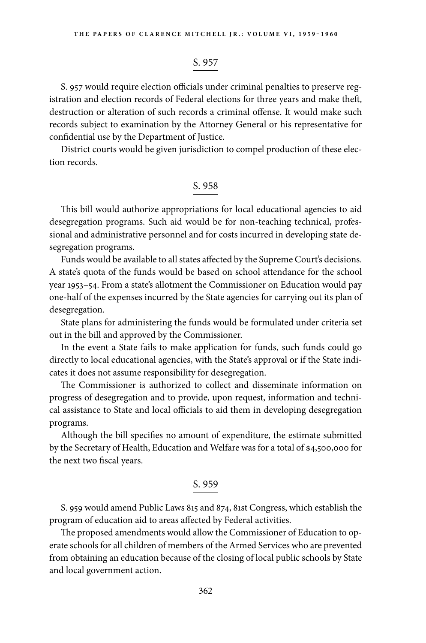# S. 957

S. 957 would require election officials under criminal penalties to preserve registration and election records of Federal elections for three years and make theft, destruction or alteration of such records a criminal offense. It would make such records subject to examination by the Attorney General or his representative for confidential use by the Department of Justice.

District courts would be given jurisdiction to compel production of these election records.

# S. 958

This bill would authorize appropriations for local educational agencies to aid desegregation programs. Such aid would be for non-teaching technical, professional and administrative personnel and for costs incurred in developing state desegregation programs.

Funds would be available to all states affected by the Supreme Court's decisions. A state's quota of the funds would be based on school attendance for the school year 1953–54. From a state's allotment the Commissioner on Education would pay one-half of the expenses incurred by the State agencies for carrying out its plan of desegregation.

State plans for administering the funds would be formulated under criteria set out in the bill and approved by the Commissioner.

In the event a State fails to make application for funds, such funds could go directly to local educational agencies, with the State's approval or if the State indicates it does not assume responsibility for desegregation.

The Commissioner is authorized to collect and disseminate information on progress of desegregation and to provide, upon request, information and technical assistance to State and local officials to aid them in developing desegregation programs.

Although the bill specifies no amount of expenditure, the estimate submitted by the Secretary of Health, Education and Welfare was for a total of \$4,500,000 for the next two fiscal years.

# S. 959

S. 959 would amend Public Laws 815 and 874, 81st Congress, which establish the program of education aid to areas affected by Federal activities.

The proposed amendments would allow the Commissioner of Education to operate schools for all children of members of the Armed Services who are prevented from obtaining an education because of the closing of local public schools by State and local government action.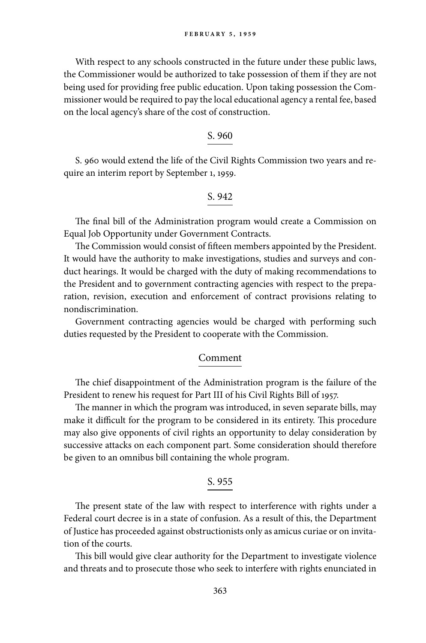With respect to any schools constructed in the future under these public laws, the Commissioner would be authorized to take possession of them if they are not being used for providing free public education. Upon taking possession the Commissioner would be required to pay the local educational agency a rental fee, based on the local agency's share of the cost of construction.

#### S. 960

S. 960 would extend the life of the Civil Rights Commission two years and require an interim report by September 1, 1959.

# S. 942

The final bill of the Administration program would create a Commission on Equal Job Opportunity under Government Contracts.

The Commission would consist of fifteen members appointed by the President. It would have the authority to make investigations, studies and surveys and conduct hearings. It would be charged with the duty of making recommendations to the President and to government contracting agencies with respect to the preparation, revision, execution and enforcement of contract provisions relating to nondiscrimination.

Government contracting agencies would be charged with performing such duties requested by the President to cooperate with the Commission.

#### Comment

The chief disappointment of the Administration program is the failure of the President to renew his request for Part III of his Civil Rights Bill of 1957.

The manner in which the program was introduced, in seven separate bills, may make it difficult for the program to be considered in its entirety. This procedure may also give opponents of civil rights an opportunity to delay consideration by successive attacks on each component part. Some consideration should therefore be given to an omnibus bill containing the whole program.

#### S. 955

The present state of the law with respect to interference with rights under a Federal court decree is in a state of confusion. As a result of this, the Department of Justice has proceeded against obstructionists only as amicus curiae or on invitation of the courts.

This bill would give clear authority for the Department to investigate violence and threats and to prosecute those who seek to interfere with rights enunciated in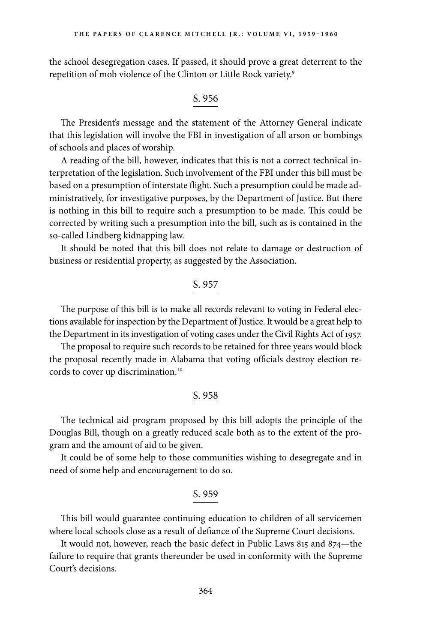the school desegregation cases. If passed, it should prove a great deterrent to the repetition of mob violence of the Clinton or Little Rock variety.<sup>9</sup>

#### S. 956

The President's message and the statement of the Attorney General indicate that this legislation will involve the FBI in investigation of all arson or bombings of schools and places of worship.

A reading of the bill, however, indicates that this is not a correct technical interpretation of the legislation. Such involvement of the FBI under this bill must be based on a presumption of interstate flight. Such a presumption could be made administratively, for investigative purposes, by the Department of Justice. But there is nothing in this bill to require such a presumption to be made. This could be corrected by writing such a presumption into the bill, such as is contained in the so-called Lindberg kidnapping law.

It should be noted that this bill does not relate to damage or destruction of business or residential property, as suggested by the Association.

#### S. 957

The purpose of this bill is to make all records relevant to voting in Federal elections available for inspection by the Department of Justice. It would be a great help to the Department in its investigation of voting cases under the Civil Rights Act of 1957.

The proposal to require such records to be retained for three years would block the proposal recently made in Alabama that voting officials destroy election records to cover up discrimination.<sup>10</sup>

# S. 958

The technical aid program proposed by this bill adopts the principle of the Douglas Bill, though on a greatly reduced scale both as to the extent of the program and the amount of aid to be given.

It could be of some help to those communities wishing to desegregate and in need of some help and encouragement to do so.

#### S. 959

This bill would guarantee continuing education to children of all servicemen where local schools close as a result of defiance of the Supreme Court decisions.

It would not, however, reach the basic defect in Public Laws 815 and 874—the failure to require that grants thereunder be used in conformity with the Supreme Court's decisions.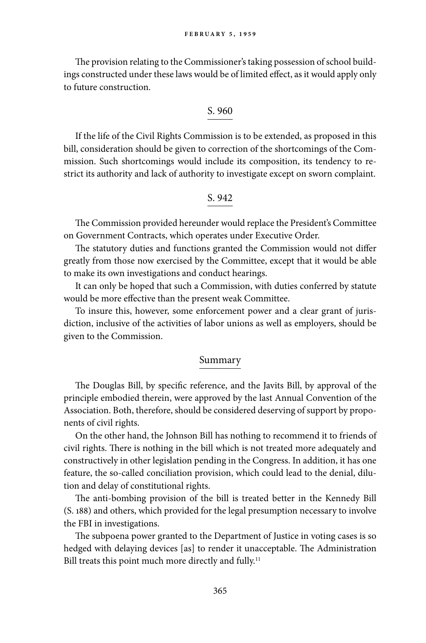The provision relating to the Commissioner's taking possession of school buildings constructed under these laws would be of limited effect, as it would apply only to future construction.

# S. 960

If the life of the Civil Rights Commission is to be extended, as proposed in this bill, consideration should be given to correction of the shortcomings of the Commission. Such shortcomings would include its composition, its tendency to restrict its authority and lack of authority to investigate except on sworn complaint.

# S. 942

The Commission provided hereunder would replace the President's Committee on Government Contracts, which operates under Executive Order.

The statutory duties and functions granted the Commission would not differ greatly from those now exercised by the Committee, except that it would be able to make its own investigations and conduct hearings.

It can only be hoped that such a Commission, with duties conferred by statute would be more effective than the present weak Committee.

To insure this, however, some enforcement power and a clear grant of jurisdiction, inclusive of the activities of labor unions as well as employers, should be given to the Commission.

# Summary

The Douglas Bill, by specific reference, and the Javits Bill, by approval of the principle embodied therein, were approved by the last Annual Convention of the Association. Both, therefore, should be considered deserving of support by proponents of civil rights.

On the other hand, the Johnson Bill has nothing to recommend it to friends of civil rights. There is nothing in the bill which is not treated more adequately and constructively in other legislation pending in the Congress. In addition, it has one feature, the so-called conciliation provision, which could lead to the denial, dilution and delay of constitutional rights.

The anti-bombing provision of the bill is treated better in the Kennedy Bill (S. 188) and others, which provided for the legal presumption necessary to involve the FBI in investigations.

The subpoena power granted to the Department of Justice in voting cases is so hedged with delaying devices [as] to render it unacceptable. The Administration Bill treats this point much more directly and fully.<sup>11</sup>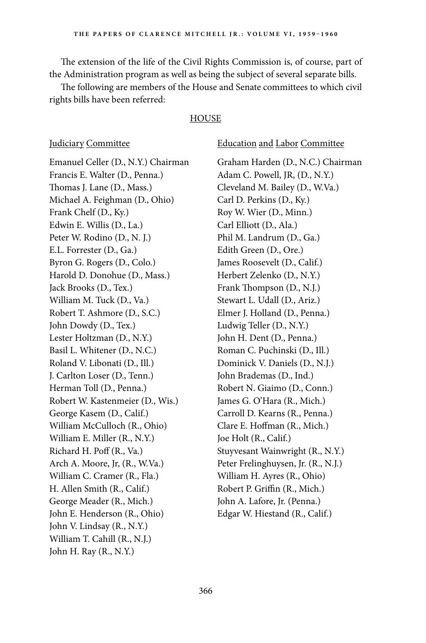The extension of the life of the Civil Rights Commission is, of course, part of the Administration program as well as being the subject of several separate bills.

The following are members of the House and Senate committees to which civil rights bills have been referred:

#### **HOUSE**

Judiciary Committee Education and Labor Committee Emanuel Celler (D., N.Y.) Chairman Graham Harden (D., N.C.) Chairman Francis E. Walter (D., Penna.) Adam C. Powell, JR, (D., N.Y.) Thomas J. Lane (D., Mass.) Cleveland M. Bailey (D., W.Va.) Michael A. Feighman (D., Ohio) Carl D. Perkins (D., Ky.) Frank Chelf (D., Ky.) Roy W. Wier (D., Minn.) Edwin E. Willis (D., La.) Carl Elliott (D., Ala.) Peter W. Rodino (D., N. J.) Phil M. Landrum (D., Ga.) E.L. Forrester (D., Ga.) Edith Green (D., Ore.) Byron G. Rogers (D., Colo.) James Roosevelt (D., Calif.) Harold D. Donohue (D., Mass.) Herbert Zelenko (D., N.Y.) Jack Brooks (D., Tex.) Frank Thompson (D., N.J.) William M. Tuck (D., Va.) Stewart L. Udall (D., Ariz.) Robert T. Ashmore (D., S.C.) Elmer J. Holland (D., Penna.) John Dowdy (D., Tex.) Ludwig Teller (D., N.Y.) Lester Holtzman (D., N.Y.) John H. Dent (D., Penna.) Basil L. Whitener (D., N.C.) Roman C. Puchinski (D., Ill.) Roland V. Libonati (D., Ill.) Dominick V. Daniels (D., N.J.) J. Carlton Loser (D., Tenn.) John Brademas (D., Ind.) Herman Toll (D., Penna.) Robert N. Giaimo (D., Conn.) Robert W. Kastenmeier (D., Wis.) James G. O'Hara (R., Mich.) George Kasem (D., Calif.) Carroll D. Kearns (R., Penna.) William McCulloch (R., Ohio) Clare E. Hoffman (R., Mich.) William E. Miller (R., N.Y.) Joe Holt (R., Calif.) Richard H. Poff (R., Va.) Stuyvesant Wainwright (R., N.Y.) Arch A. Moore, Jr, (R., W.Va.) Peter Frelinghuysen, Jr. (R., N.J.) William C. Cramer (R., Fla.) William H. Ayres (R., Ohio) H. Allen Smith (R., Calif.) Robert P. Griffin (R., Mich.) George Meader (R., Mich.) John A. Lafore, Jr. (Penna.) John E. Henderson (R., Ohio) Edgar W. Hiestand (R., Calif.) John V. Lindsay (R., N.Y.) William T. Cahill (R., N.J.) John H. Ray (R., N.Y.)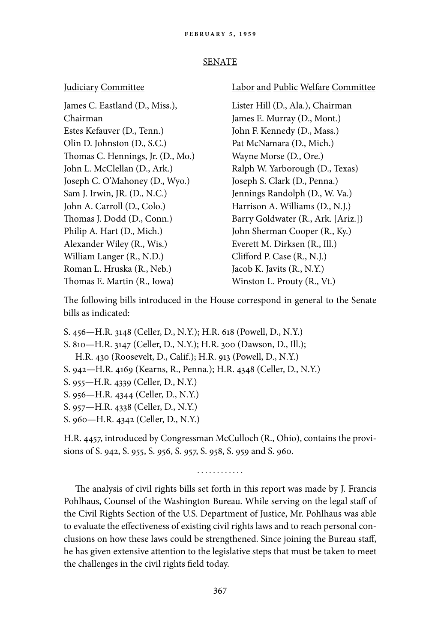#### SENATE

Chairman James E. Murray (D., Mont.) Estes Kefauver (D., Tenn.) John F. Kennedy (D., Mass.) Olin D. Johnston (D., S.C.) Pat McNamara (D., Mich.) Thomas C. Hennings, Jr. (D., Mo.) Wayne Morse (D., Ore.) Joseph C. O'Mahoney (D., Wyo.) Joseph S. Clark (D., Penna.) Sam J. Irwin, JR. (D., N.C.) Jennings Randolph (D., W. Va.) John A. Carroll (D., Colo.) Harrison A. Williams (D., N.J.) Philip A. Hart (D., Mich.) John Sherman Cooper (R., Ky.) Alexander Wiley (R., Wis.) Everett M. Dirksen (R., Ill.) William Langer (R., N.D.) Clifford P. Case (R., N.J.) Roman L. Hruska (R., Neb.) Jacob K. Javits (R., N.Y.) Thomas E. Martin (R., Iowa) Winston L. Prouty (R., Vt.)

#### Judiciary Committee Labor and Public Welfare Committee

James C. Eastland (D., Miss.), Lister Hill (D., Ala.), Chairman John L. McClellan (D., Ark.) Ralph W. Yarborough (D., Texas) Thomas J. Dodd (D., Conn.) Barry Goldwater (R., Ark. [Ariz.])

The following bills introduced in the House correspond in general to the Senate bills as indicated:

- S. 456—H.R. 3148 (Celler, D., N.Y.); H.R. 618 (Powell, D., N.Y.)
- S. 810—H.R. 3147 (Celler, D., N.Y.); H.R. 300 (Dawson, D., Ill.); H.R. 430 (Roosevelt, D., Calif.); H.R. 913 (Powell, D., N.Y.)
- S. 942—H.R. 4169 (Kearns, R., Penna.); H.R. 4348 (Celler, D., N.Y.)
- S. 955—H.R. 4339 (Celler, D., N.Y.)
- S. 956—H.R. 4344 (Celler, D., N.Y.)
- S. 957—H.R. 4338 (Celler, D., N.Y.)
- S. 960—H.R. 4342 (Celler, D., N.Y.)

H.R. 4457, introduced by Congressman McCulloch (R., Ohio), contains the provisions of S. 942, S. 955, S. 956, S. 957, S. 958, S. 959 and S. 960.

. . . . . . . . . . . .

The analysis of civil rights bills set forth in this report was made by J. Francis Pohlhaus, Counsel of the Washington Bureau. While serving on the legal staff of the Civil Rights Section of the U.S. Department of Justice, Mr. Pohlhaus was able to evaluate the effectiveness of existing civil rights laws and to reach personal conclusions on how these laws could be strengthened. Since joining the Bureau staff, he has given extensive attention to the legislative steps that must be taken to meet the challenges in the civil rights field today.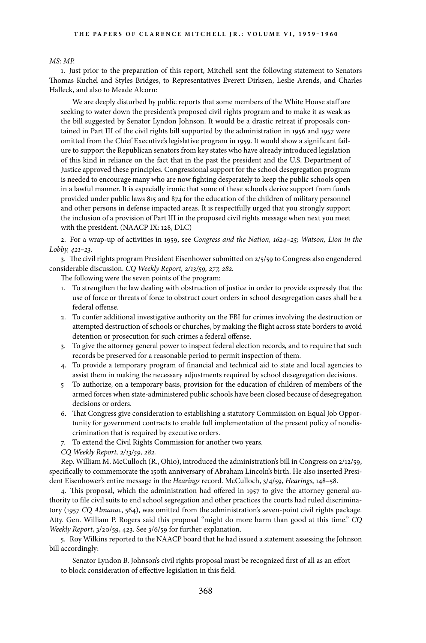#### *MS: MP.*

1. Just prior to the preparation of this report, Mitchell sent the following statement to Senators Thomas Kuchel and Styles Bridges, to Representatives Everett Dirksen, Leslie Arends, and Charles Halleck, and also to Meade Alcorn:

We are deeply disturbed by public reports that some members of the White House staff are seeking to water down the president's proposed civil rights program and to make it as weak as the bill suggested by Senator Lyndon Johnson. It would be a drastic retreat if proposals contained in Part III of the civil rights bill supported by the administration in 1956 and 1957 were omitted from the Chief Executive's legislative program in 1959. It would show a significant failure to support the Republican senators from key states who have already introduced legislation of this kind in reliance on the fact that in the past the president and the U.S. Department of Justice approved these principles. Congressional support for the school desegregation program is needed to encourage many who are now fighting desperately to keep the public schools open in a lawful manner. It is especially ironic that some of these schools derive support from funds provided under public laws 815 and 874 for the education of the children of military personnel and other persons in defense impacted areas. It is respectfully urged that you strongly support the inclusion of a provision of Part III in the proposed civil rights message when next you meet with the president. (NAACP IX: 128, DLC)

2. For a wrap-up of activities in 1959, see *Congress and the Nation, 1624–25; Watson, Lion in the Lobby, 421–23.*

3. The civil rights program President Eisenhower submitted on 2/5/59 to Congress also engendered considerable discussion. *CQ Weekly Report, 2/13/59, 277, 282.*

The following were the seven points of the program:

- 1. To strengthen the law dealing with obstruction of justice in order to provide expressly that the use of force or threats of force to obstruct court orders in school desegregation cases shall be a federal offense.
- 2. To confer additional investigative authority on the FBI for crimes involving the destruction or attempted destruction of schools or churches, by making the flight across state borders to avoid detention or prosecution for such crimes a federal offense.
- 3. To give the attorney general power to inspect federal election records, and to require that such records be preserved for a reasonable period to permit inspection of them.
- 4. To provide a temporary program of financial and technical aid to state and local agencies to assist them in making the necessary adjustments required by school desegregation decisions.
- 5 To authorize, on a temporary basis, provision for the education of children of members of the armed forces when state-administered public schools have been closed because of desegregation decisions or orders.
- 6. That Congress give consideration to establishing a statutory Commission on Equal Job Opportunity for government contracts to enable full implementation of the present policy of nondiscrimination that is required by executive orders.
- 7. To extend the Civil Rights Commission for another two years.
- *CQ Weekly Report, 2/13/59, 282.*

Rep. William M. McCulloch (R., Ohio), introduced the administration's bill in Congress on 2/12/59, specifically to commemorate the 150th anniversary of Abraham Lincoln's birth. He also inserted President Eisenhower's entire message in the *Hearings* record. McCulloch, 3/4/59, *Hearings*, 148–58.

4. This proposal, which the administration had offered in 1957 to give the attorney general authority to file civil suits to end school segregation and other practices the courts had ruled discriminatory (1957 *CQ Almanac*, 564), was omitted from the administration's seven-point civil rights package. Atty. Gen. William P. Rogers said this proposal "might do more harm than good at this time." *CQ Weekly Report*, 3/20/59, 423. See 3/6/59 for further explanation.

5. Roy Wilkins reported to the NAACP board that he had issued a statement assessing the Johnson bill accordingly:

Senator Lyndon B. Johnson's civil rights proposal must be recognized first of all as an effort to block consideration of effective legislation in this field.